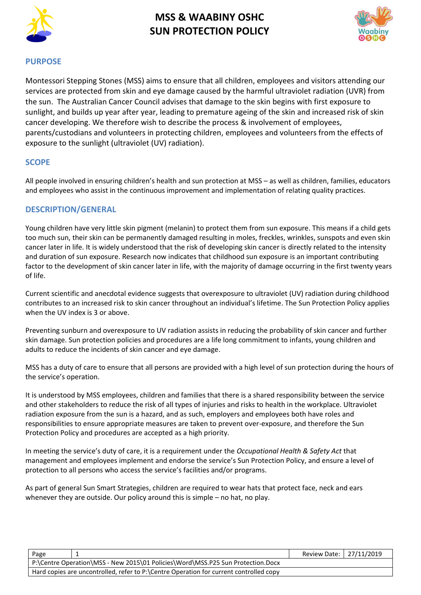



### **PURPOSE**

Montessori Stepping Stones (MSS) aims to ensure that all children, employees and visitors attending our services are protected from skin and eye damage caused by the harmful ultraviolet radiation (UVR) from the sun. The Australian Cancer Council advises that damage to the skin begins with first exposure to sunlight, and builds up year after year, leading to premature ageing of the skin and increased risk of skin cancer developing. We therefore wish to describe the process & involvement of employees, parents/custodians and volunteers in protecting children, employees and volunteers from the effects of exposure to the sunlight (ultraviolet (UV) radiation).

### **SCOPE**

All people involved in ensuring children's health and sun protection at MSS – as well as children, families, educators and employees who assist in the continuous improvement and implementation of relating quality practices.

## **DESCRIPTION/GENERAL**

Young children have very little skin pigment (melanin) to protect them from sun exposure. This means if a child gets too much sun, their skin can be permanently damaged resulting in moles, freckles, wrinkles, sunspots and even skin cancer later in life. It is widely understood that the risk of developing skin cancer is directly related to the intensity and duration of sun exposure. Research now indicates that childhood sun exposure is an important contributing factor to the development of skin cancer later in life, with the majority of damage occurring in the first twenty years of life.

Current scientific and anecdotal evidence suggests that overexposure to ultraviolet (UV) radiation during childhood contributes to an increased risk to skin cancer throughout an individual's lifetime. The Sun Protection Policy applies when the UV index is 3 or above.

Preventing sunburn and overexposure to UV radiation assists in reducing the probability of skin cancer and further skin damage. Sun protection policies and procedures are a life long commitment to infants, young children and adults to reduce the incidents of skin cancer and eye damage.

MSS has a duty of care to ensure that all persons are provided with a high level of sun protection during the hours of the service's operation.

It is understood by MSS employees, children and families that there is a shared responsibility between the service and other stakeholders to reduce the risk of all types of injuries and risks to health in the workplace. Ultraviolet radiation exposure from the sun is a hazard, and as such, employers and employees both have roles and responsibilities to ensure appropriate measures are taken to prevent over-exposure, and therefore the Sun Protection Policy and procedures are accepted as a high priority.

In meeting the service's duty of care, it is a requirement under the *Occupational Health & Safety Act* that management and employees implement and endorse the service's Sun Protection Policy, and ensure a level of protection to all persons who access the service's facilities and/or programs.

As part of general Sun Smart Strategies, children are required to wear hats that protect face, neck and ears whenever they are outside. Our policy around this is simple – no hat, no play.

|                                                                                        |  | Review Date: 27/11/2019 |
|----------------------------------------------------------------------------------------|--|-------------------------|
| P:\Centre Operation\MSS - New 2015\01 Policies\Word\MSS.P25 Sun Protection.Docx        |  |                         |
| Hard copies are uncontrolled, refer to P:\Centre Operation for current controlled copy |  |                         |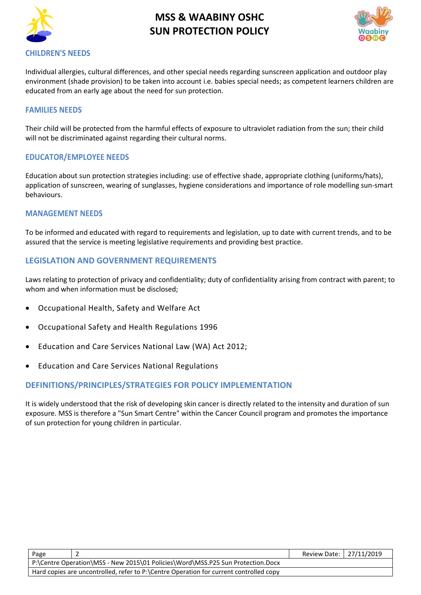



Individual allergies, cultural differences, and other special needs regarding sunscreen application and outdoor play environment (shade provision) to be taken into account i.e. babies special needs; as competent learners children are educated from an early age about the need for sun protection.

#### **FAMILIES NEEDS**

Their child will be protected from the harmful effects of exposure to ultraviolet radiation from the sun; their child will not be discriminated against regarding their cultural norms.

### **EDUCATOR/EMPLOYEE NEEDS**

Education about sun protection strategies including: use of effective shade, appropriate clothing (uniforms/hats), application of sunscreen, wearing of sunglasses, hygiene considerations and importance of role modelling sun-smart behaviours.

#### **MANAGEMENT NEEDS**

To be informed and educated with regard to requirements and legislation, up to date with current trends, and to be assured that the service is meeting legislative requirements and providing best practice.

### **LEGISLATION AND GOVERNMENT REQUIREMENTS**

Laws relating to protection of privacy and confidentiality; duty of confidentiality arising from contract with parent; to whom and when information must be disclosed;

- [Occupational Health, Safety and Welfare Act](http://www.slp.wa.gov.au/legislation/agency.nsf/docep_main_mrtitle_4245_homepage.html)
- [Occupational Safety and Health Regulations 1996](http://www.slp.wa.gov.au/legislation/agency.nsf/docep_main_mrtitle_12516_homepage.html)
- Education and Care Services National Law (WA) Act 2012;
- Education and Care Services National Regulations

#### **DEFINITIONS/PRINCIPLES/STRATEGIES FOR POLICY IMPLEMENTATION**

It is widely understood that the risk of developing skin cancer is directly related to the intensity and duration of sun exposure. MSS is therefore a "Sun Smart Centre" within the Cancer Council program and promotes the importance of sun protection for young children in particular.

| Page |                                                                                        | Review Date:   27/11/2019 |  |
|------|----------------------------------------------------------------------------------------|---------------------------|--|
|      | P:\Centre Operation\MSS - New 2015\01 Policies\Word\MSS.P25 Sun Protection.Docx        |                           |  |
|      | Hard copies are uncontrolled, refer to P:\Centre Operation for current controlled copy |                           |  |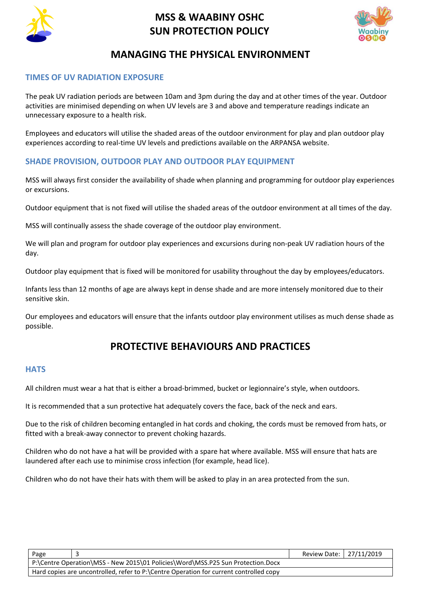



# **MANAGING THE PHYSICAL ENVIRONMENT**

## **TIMES OF UV RADIATION EXPOSURE**

The peak UV radiation periods are between 10am and 3pm during the day and at other times of the year. Outdoor activities are minimised depending on when UV levels are 3 and above and temperature readings indicate an unnecessary exposure to a health risk.

Employees and educators will utilise the shaded areas of the outdoor environment for play and plan outdoor play experiences according to real-time UV levels and predictions available on the ARPANSA website.

# **SHADE PROVISION, OUTDOOR PLAY AND OUTDOOR PLAY EQUIPMENT**

MSS will always first consider the availability of shade when planning and programming for outdoor play experiences or excursions.

Outdoor equipment that is not fixed will utilise the shaded areas of the outdoor environment at all times of the day.

MSS will continually assess the shade coverage of the outdoor play environment.

We will plan and program for outdoor play experiences and excursions during non-peak UV radiation hours of the day.

Outdoor play equipment that is fixed will be monitored for usability throughout the day by employees/educators.

Infants less than 12 months of age are always kept in dense shade and are more intensely monitored due to their sensitive skin.

Our employees and educators will ensure that the infants outdoor play environment utilises as much dense shade as possible.

# **PROTECTIVE BEHAVIOURS AND PRACTICES**

## **HATS**

All children must wear a hat that is either a broad-brimmed, bucket or legionnaire's style, when outdoors.

It is recommended that a sun protective hat adequately covers the face, back of the neck and ears.

Due to the risk of children becoming entangled in hat cords and choking, the cords must be removed from hats, or fitted with a break-away connector to prevent choking hazards.

Children who do not have a hat will be provided with a spare hat where available. MSS will ensure that hats are laundered after each use to minimise cross infection (for example, head lice).

Children who do not have their hats with them will be asked to play in an area protected from the sun.

| Page                                                                                   | Review Date:   27/11/2019 |  |
|----------------------------------------------------------------------------------------|---------------------------|--|
| P:\Centre Operation\MSS - New 2015\01 Policies\Word\MSS.P25 Sun Protection.Docx        |                           |  |
| Hard copies are uncontrolled, refer to P:\Centre Operation for current controlled copy |                           |  |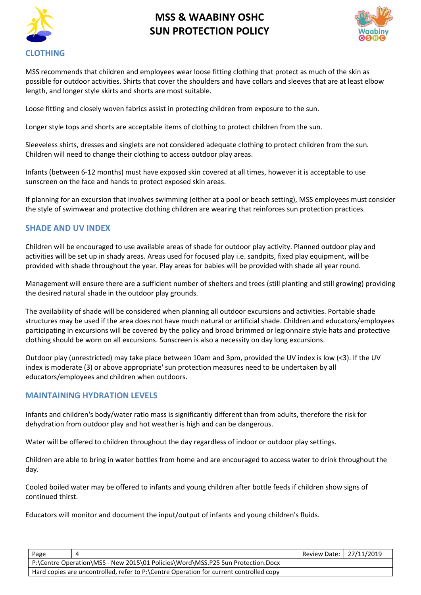



MSS recommends that children and employees wear loose fitting clothing that protect as much of the skin as possible for outdoor activities. Shirts that cover the shoulders and have collars and sleeves that are at least elbow length, and longer style skirts and shorts are most suitable.

Loose fitting and closely woven fabrics assist in protecting children from exposure to the sun.

Longer style tops and shorts are acceptable items of clothing to protect children from the sun.

Sleeveless shirts, dresses and singlets are not considered adequate clothing to protect children from the sun. Children will need to change their clothing to access outdoor play areas.

Infants (between 6-12 months) must have exposed skin covered at all times, however it is acceptable to use sunscreen on the face and hands to protect exposed skin areas.

If planning for an excursion that involves swimming (either at a pool or beach setting), MSS employees must consider the style of swimwear and protective clothing children are wearing that reinforces sun protection practices.

#### **SHADE AND UV INDEX**

Children will be encouraged to use available areas of shade for outdoor play activity. Planned outdoor play and activities will be set up in shady areas. Areas used for focused play i.e. sandpits, fixed play equipment, will be provided with shade throughout the year. Play areas for babies will be provided with shade all year round.

Management will ensure there are a sufficient number of shelters and trees (still planting and still growing) providing the desired natural shade in the outdoor play grounds.

The availability of shade will be considered when planning all outdoor excursions and activities. Portable shade structures may be used if the area does not have much natural or artificial shade. Children and educators/employees participating in excursions will be covered by the policy and broad brimmed or legionnaire style hats and protective clothing should be worn on all excursions. Sunscreen is also a necessity on day long excursions.

Outdoor play (unrestricted) may take place between 10am and 3pm, provided the UV index is low (<3). If the UV index is moderate (3) or above appropriate' sun protection measures need to be undertaken by all educators/employees and children when outdoors.

#### **MAINTAINING HYDRATION LEVELS**

Infants and children's body/water ratio mass is significantly different than from adults, therefore the risk for dehydration from outdoor play and hot weather is high and can be dangerous.

Water will be offered to children throughout the day regardless of indoor or outdoor play settings.

Children are able to bring in water bottles from home and are encouraged to access water to drink throughout the day.

Cooled boiled water may be offered to infants and young children after bottle feeds if children show signs of continued thirst.

Educators will monitor and document the input/output of infants and young children's fluids.

| Page                                                                                   | Review Date: 27/11/2019 |  |
|----------------------------------------------------------------------------------------|-------------------------|--|
| P:\Centre Operation\MSS - New 2015\01 Policies\Word\MSS.P25 Sun Protection.Docx        |                         |  |
| Hard copies are uncontrolled, refer to P:\Centre Operation for current controlled copy |                         |  |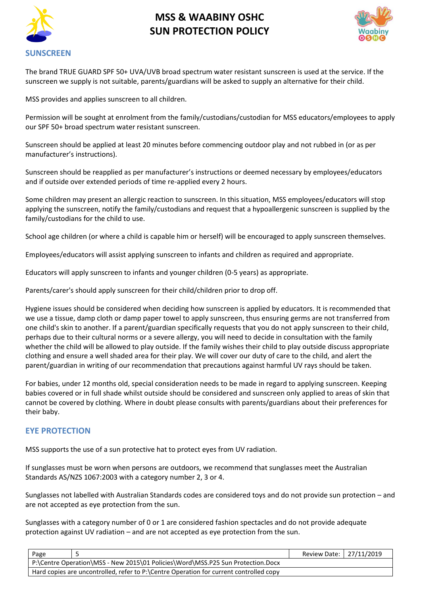



The brand TRUE GUARD SPF 50+ UVA/UVB broad spectrum water resistant sunscreen is used at the service. If the sunscreen we supply is not suitable, parents/guardians will be asked to supply an alternative for their child.

MSS provides and applies sunscreen to all children.

Permission will be sought at enrolment from the family/custodians/custodian for MSS educators/employees to apply our SPF 50+ broad spectrum water resistant sunscreen.

Sunscreen should be applied at least 20 minutes before commencing outdoor play and not rubbed in (or as per manufacturer's instructions).

Sunscreen should be reapplied as per manufacturer's instructions or deemed necessary by employees/educators and if outside over extended periods of time re-applied every 2 hours.

Some children may present an allergic reaction to sunscreen. In this situation, MSS employees/educators will stop applying the sunscreen, notify the family/custodians and request that a hypoallergenic sunscreen is supplied by the family/custodians for the child to use.

School age children (or where a child is capable him or herself) will be encouraged to apply sunscreen themselves.

Employees/educators will assist applying sunscreen to infants and children as required and appropriate.

Educators will apply sunscreen to infants and younger children (0-5 years) as appropriate.

Parents/carer's should apply sunscreen for their child/children prior to drop off.

Hygiene issues should be considered when deciding how sunscreen is applied by educators. It is recommended that we use a tissue, damp cloth or damp paper towel to apply sunscreen, thus ensuring germs are not transferred from one child's skin to another. If a parent/guardian specifically requests that you do not apply sunscreen to their child, perhaps due to their cultural norms or a severe allergy, you will need to decide in consultation with the family whether the child will be allowed to play outside. If the family wishes their child to play outside discuss appropriate clothing and ensure a well shaded area for their play. We will cover our duty of care to the child, and alert the parent/guardian in writing of our recommendation that precautions against harmful UV rays should be taken.

For babies, under 12 months old, special consideration needs to be made in regard to applying sunscreen. Keeping babies covered or in full shade whilst outside should be considered and sunscreen only applied to areas of skin that cannot be covered by clothing. Where in doubt please consults with parents/guardians about their preferences for their baby.

#### **EYE PROTECTION**

MSS supports the use of a sun protective hat to protect eyes from UV radiation.

If sunglasses must be worn when persons are outdoors, we recommend that sunglasses meet the Australian Standards AS/NZS 1067:2003 with a category number 2, 3 or 4.

Sunglasses not labelled with Australian Standards codes are considered toys and do not provide sun protection – and are not accepted as eye protection from the sun.

Sunglasses with a category number of 0 or 1 are considered fashion spectacles and do not provide adequate protection against UV radiation – and are not accepted as eye protection from the sun.

| Page                                                                                   | Review Date: 27/11/2019 |  |
|----------------------------------------------------------------------------------------|-------------------------|--|
| P:\Centre Operation\MSS - New 2015\01 Policies\Word\MSS.P25 Sun Protection.Docx        |                         |  |
| Hard copies are uncontrolled, refer to P:\Centre Operation for current controlled copy |                         |  |